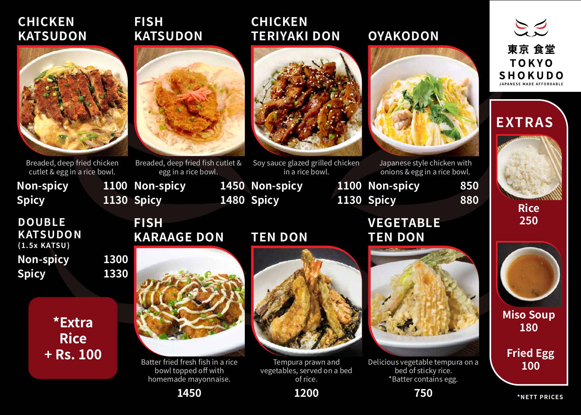

Breaded, deep fried fish cutlet & egg in a rice bowl.

## **FISH KATSUDON**

# **EXTRAS**



#### **Rice 250**



### **Miso Soup 180**

**\*NETT PRICES**

**Fried Egg 100**

## **CHICKEN KATSUDON**



Soy sauce glazed grilled chicken in a rice bowl.

**Non-spicy** 

**Spicy** 

**1100 Non-spicy 1130 Spicy** 

Japanese style chicken with 1100 Non-spicy 850





Breaded, deep fried chicken cutlet & egg in a rice bowl.

### **CHICKEN TERIYAKI DON**

### **OYAKODON**



onions & egg in a rice bowl.

**FISH**

1450 Non-spicy **1480 Spicy** 

**KARAAGE DON**

**Non-spicy 1300 Spicy 1330 DOUBLE KATSUDON (1.5x KATSU)**

> \*Extra **Rice**  $+$  Rs. 100



Batter fried fresh fish in a rice bowl topped off with homemade mayonnaise.

**1450**

**TEN DON**

1130 Spicy 880



Tempura prawn and vegetables, served on a bed of rice.



**VEGETABLE TEN DON**



Delicious vegetable tempura on a bed of sticky rice. \*Batter contains egg.